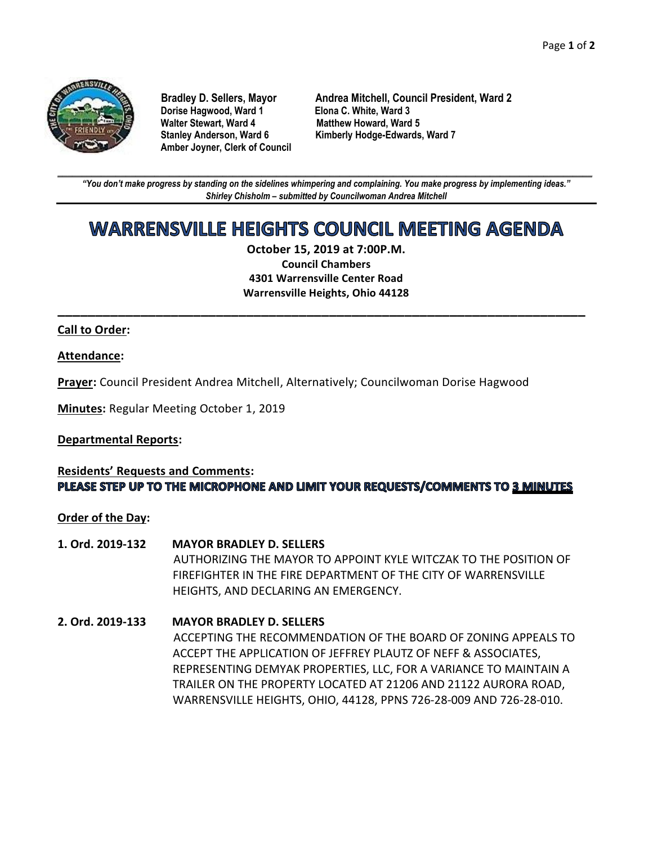

**Dorise Hagwood, Ward 1 Elona C. White, Ward 3 Amber Joyner, Clerk of Council**

**Bradley D. Sellers, Mayor Andrea Mitchell, Council President, Ward 2 Matthew Howard, Ward 5 Stanley Anderson, Ward 6 Kimberly Hodge-Edwards, Ward 7**

**\_\_\_\_\_\_\_\_\_\_\_\_\_\_\_\_\_\_\_\_\_\_\_\_\_\_\_\_\_\_\_\_\_\_\_\_\_\_\_\_\_\_\_\_\_\_\_\_\_\_\_\_\_\_\_\_\_\_\_\_\_\_\_\_\_\_\_\_\_\_\_\_\_\_\_\_\_\_\_\_\_\_\_\_\_\_\_\_\_\_\_\_\_\_\_\_\_\_\_\_\_\_\_\_\_\_\_\_\_\_** *"You don't make progress by standing on the sidelines whimpering and complaining. You make progress by implementing ideas." Shirley Chisholm – submitted by Councilwoman Andrea Mitchell*

# WARRENSVILLE HEIGHTS COUNCIL MEETING AGENDA

**October 15, 2019 at 7:00P.M. Council Chambers 4301 Warrensville Center Road Warrensville Heights, Ohio 44128**

**\_\_\_\_\_\_\_\_\_\_\_\_\_\_\_\_\_\_\_\_\_\_\_\_\_\_\_\_\_\_\_\_\_\_\_\_\_\_\_\_\_\_\_\_\_\_\_\_\_\_\_\_\_\_\_\_\_\_\_\_\_\_\_\_\_\_\_\_\_\_**

#### **Call to Order:**

#### **Attendance:**

**Prayer:** Council President Andrea Mitchell, Alternatively; Councilwoman Dorise Hagwood

**Minutes:** Regular Meeting October 1, 2019

#### **Departmental Reports:**

#### **Residents' Requests and Comments:** PLEASE STEP UP TO THE MICROPHONE AND LIMIT YOUR REQUESTS/COMMENTS TO 3 MINUTES

**Order of the Day:**

- **1. Ord. 2019-132 MAYOR BRADLEY D. SELLERS** AUTHORIZING THE MAYOR TO APPOINT KYLE WITCZAK TO THE POSITION OF FIREFIGHTER IN THE FIRE DEPARTMENT OF THE CITY OF WARRENSVILLE HEIGHTS, AND DECLARING AN EMERGENCY.
- **2. Ord. 2019-133 MAYOR BRADLEY D. SELLERS** ACCEPTING THE RECOMMENDATION OF THE BOARD OF ZONING APPEALS TO ACCEPT THE APPLICATION OF JEFFREY PLAUTZ OF NEFF & ASSOCIATES, REPRESENTING DEMYAK PROPERTIES, LLC, FOR A VARIANCE TO MAINTAIN A TRAILER ON THE PROPERTY LOCATED AT 21206 AND 21122 AURORA ROAD, WARRENSVILLE HEIGHTS, OHIO, 44128, PPNS 726-28-009 AND 726-28-010.